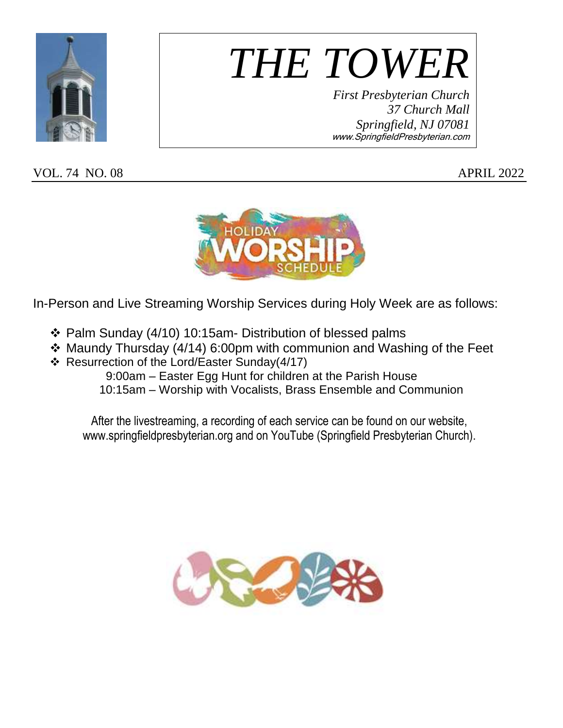

*THE TOWER*

*First Presbyterian Church 37 Church Mall Springfield, NJ 07081* www.SpringfieldPresbyterian.com

VOL. 74 NO. 08 APRIL 2022



In-Person and Live Streaming Worship Services during Holy Week are as follows:

- Palm Sunday (4/10) 10:15am- Distribution of blessed palms
- Maundy Thursday (4/14) 6:00pm with communion and Washing of the Feet
- Resurrection of the Lord/Easter Sunday(4/17)

 9:00am – Easter Egg Hunt for children at the Parish House 10:15am – Worship with Vocalists, Brass Ensemble and Communion

After the livestreaming, a recording of each service can be found on our website, www.springfieldpresbyterian.org and on YouTube (Springfield Presbyterian Church).

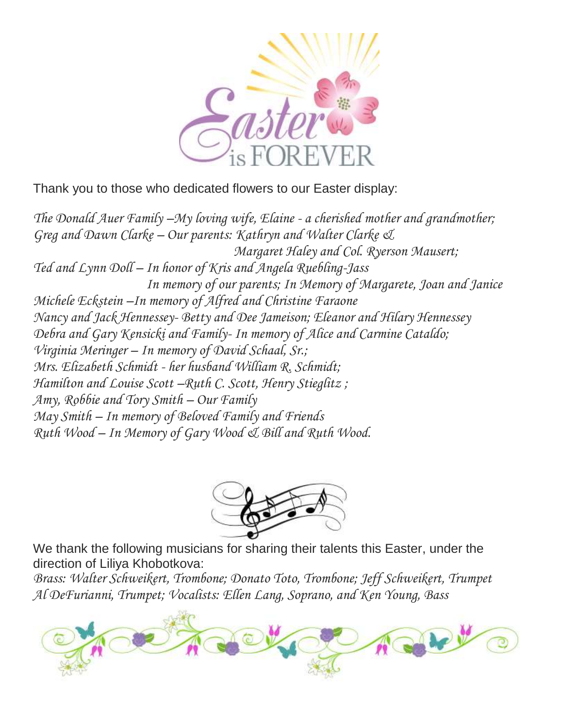

Thank you to those who dedicated flowers to our Easter display:

*The Donald Auer Family –My loving wife, Elaine - a cherished mother and grandmother; Greg and Dawn Clarke – Our parents: Kathryn and Walter Clarke & Margaret Haley and Col. Ryerson Mausert; Ted and Lynn Doll – In honor of Kris and Angela Ruebling-Jass In memory of our parents; In Memory of Margarete, Joan and Janice Michele Eckstein –In memory of Alfred and Christine Faraone Nancy and Jack Hennessey- Betty and Dee Jameison; Eleanor and Hilary Hennessey Debra and Gary Kensicki and Family- In memory of Alice and Carmine Cataldo; Virginia Meringer – In memory of David Schaal, Sr.; Mrs. Elizabeth Schmidt - her husband William R. Schmidt; Hamilton and Louise Scott –Ruth C. Scott, Henry Stieglitz ; Amy, Robbie and Tory Smith – Our Family May Smith – In memory of Beloved Family and Friends Ruth Wood – In Memory of Gary Wood & Bill and Ruth Wood.*



We thank the following musicians for sharing their talents this Easter, under the direction of Liliya Khobotkova:

*Brass: Walter Schweikert, Trombone; Donato Toto, Trombone; Jeff Schweikert, Trumpet Al DeFurianni, Trumpet; Vocalists: Ellen Lang, Soprano, and Ken Young, Bass*

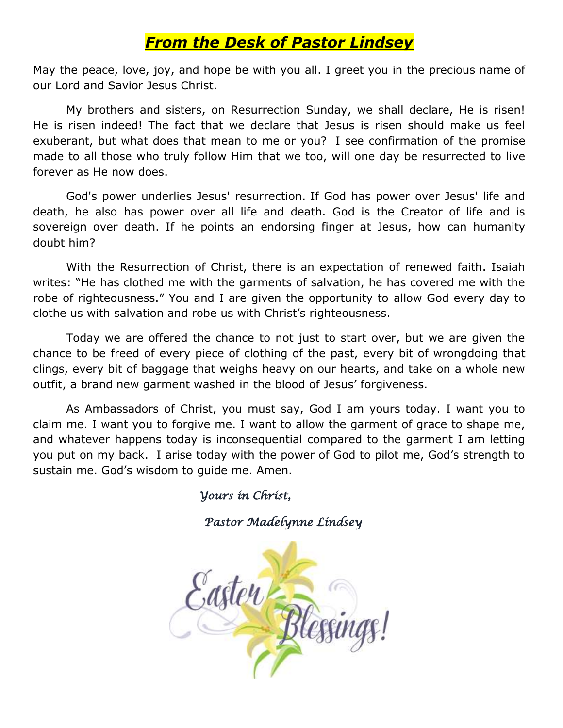### *From the Desk of Pastor Lindsey*

May the peace, love, joy, and hope be with you all. I greet you in the precious name of our Lord and Savior Jesus Christ.

My brothers and sisters, on Resurrection Sunday, we shall declare, He is risen! He is risen indeed! The fact that we declare that Jesus is risen should make us feel exuberant, but what does that mean to me or you? I see confirmation of the promise made to all those who truly follow Him that we too, will one day be resurrected to live forever as He now does.

God's power underlies Jesus' resurrection. If God has power over Jesus' life and death, he also has power over all life and death. God is the Creator of life and is sovereign over death. If he points an endorsing finger at Jesus, how can humanity doubt him?

With the Resurrection of Christ, there is an expectation of renewed faith. Isaiah writes: "He has clothed me with the garments of salvation, he has covered me with the robe of righteousness." You and I are given the opportunity to allow God every day to clothe us with salvation and robe us with Christ's righteousness.

Today we are offered the chance to not just to start over, but we are given the chance to be freed of every piece of clothing of the past, every bit of wrongdoing that clings, every bit of baggage that weighs heavy on our hearts, and take on a whole new outfit, a brand new garment washed in the blood of Jesus' forgiveness.

As Ambassadors of Christ, you must say, God I am yours today. I want you to claim me. I want you to forgive me. I want to allow the garment of grace to shape me, and whatever happens today is inconsequential compared to the garment I am letting you put on my back. I arise today with the power of God to pilot me, God's strength to sustain me. God's wisdom to guide me. Amen.

 *Yours in Christ,* 

 *Pastor Madelynne Lindsey* 

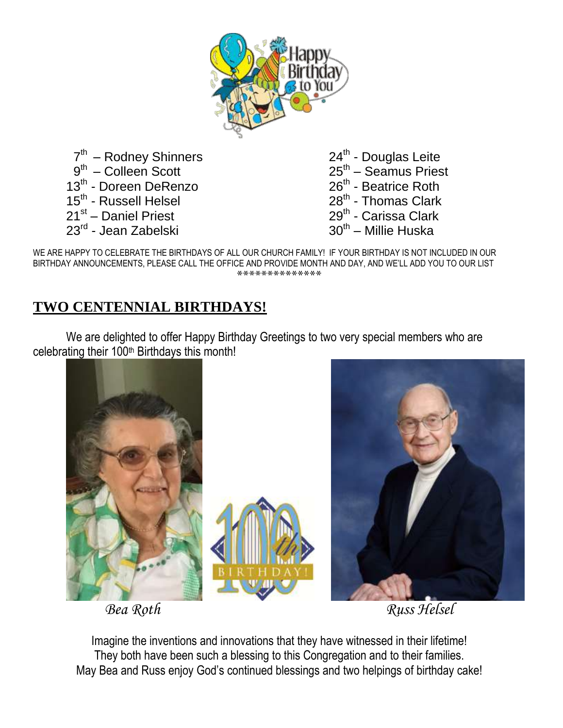

7<sup>th</sup> – Rodney Shinners 9<sup>th</sup> – Colleen Scott 13<sup>th</sup> - Doreen DeRenzo 15<sup>th</sup> - Russell Helsel 21<sup>st</sup> – Daniel Priest 23<sup>rd</sup> - Jean Zabelski

- 24<sup>th</sup> Douglas Leite 25<sup>th</sup> – Seamus Priest 26<sup>th</sup> - Beatrice Roth 28<sup>th</sup> - Thomas Clark 29<sup>th</sup> - Carissa Clark
- 30<sup>th</sup> Millie Huska

WE ARE HAPPY TO CELEBRATE THE BIRTHDAYS OF ALL OUR CHURCH FAMILY! IF YOUR BIRTHDAY IS NOT INCLUDED IN OUR BIRTHDAY ANNOUNCEMENTS, PLEASE CALL THE OFFICE AND PROVIDE MONTH AND DAY, AND WE'LL ADD YOU TO OUR LIST \*\*\*\*\*\*\*\*\*\*\*\*

### **TWO CENTENNIAL BIRTHDAYS!**

We are delighted to offer Happy Birthday Greetings to two very special members who are celebrating their 100<sup>th</sup> Birthdays this month!





Imagine the inventions and innovations that they have witnessed in their lifetime! They both have been such a blessing to this Congregation and to their families. May Bea and Russ enjoy God's continued blessings and two helpings of birthday cake!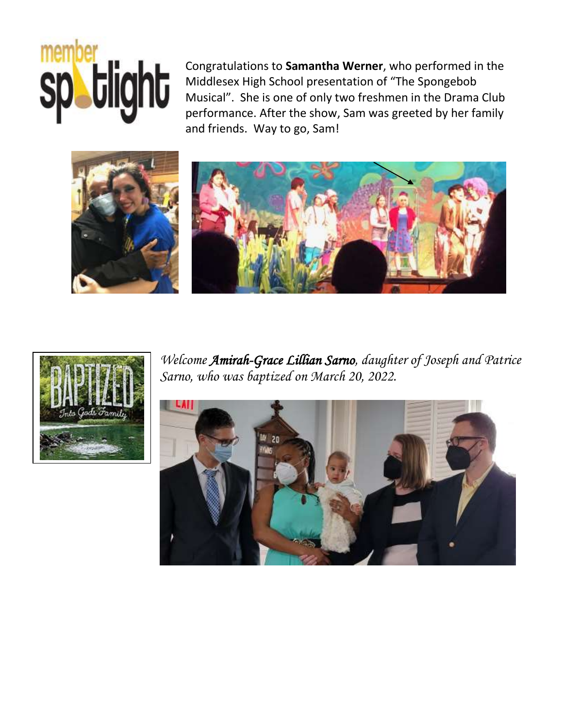# member<br>Spatight

Congratulations to **Samantha Werner**, who performed in the Middlesex High School presentation of "The Spongebob Musical". She is one of only two freshmen in the Drama Club performance. After the show, Sam was greeted by her family and friends. Way to go, Sam!





*Welcome Amirah-Grace Lillian Sarno, daughter of Joseph and Patrice Sarno, who was baptized on March 20, 2022.* 

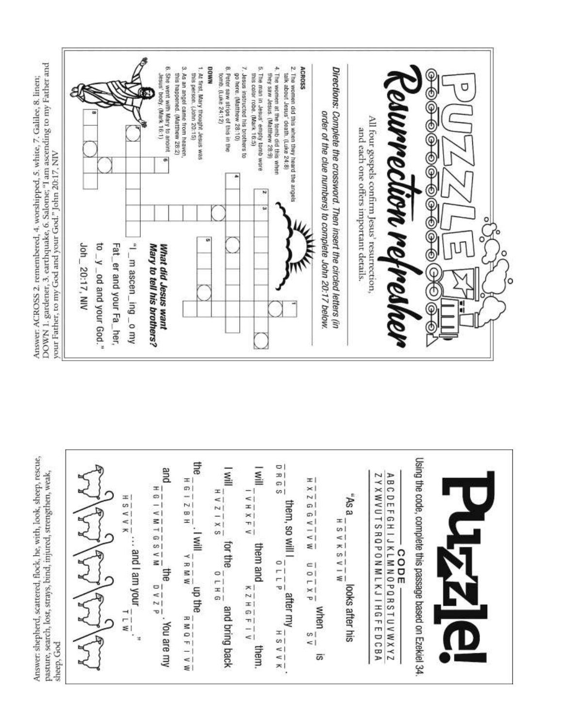Answer: shepherd, scattered, flock, he, with, look, sheep, rescue, pasture, search, lost, strays, bind, injured, strengthen, weak, sheep, God

Using the code, complete this passage based on Ezekiel 34 Elte  $\frac{1}{1}$   $\frac{1}{1}$   $\frac{1}{1}$ gind  $\frac{1}{2}$  $\mathbb{N}$ ZYXWVUTSRQPONMLKJIHGFEDCBA ABCDEFGHIJKLMNOPQRSTUVWXYZ  $\begin{array}{c} \mathbf{H} \\ \mathbf{H} \\ \mathbf{H} \end{array}$ ±|  $\frac{x}{2}$  $\frac{16}{16} - \frac{16}{16} = \frac{16}{16} = \frac{16}{16} = \frac{16}{16} = \frac{16}{16} = \frac{16}{16} = \frac{16}{16} = \frac{16}{16} = \frac{16}{16} = \frac{16}{16} = \frac{16}{16} = \frac{16}{16} = \frac{16}{16} = \frac{16}{16} = \frac{16}{16} = \frac{16}{16} = \frac{16}{16} = \frac{16}{16} = \frac{16}{16} = \frac{16}{16} = \frac{16}{16} =$  $\frac{1}{2}$   $\frac{1}{2}$   $\frac{1}{2}$   $\frac{1}{2}$   $\frac{1}{2}$   $\frac{1}{2}$  $\frac{1}{V}$   $\frac{1}{N}$   $\frac{1}{N}$   $\frac{1}{N}$ "As a Ŧ  $\frac{X \wedge A S}{X}$  $\frac{1}{2}$ them, so will I  $\frac{M}{6} - \frac{1}{7} - \frac{1}{7}$  $\equiv$ ≖∣  $\frac{M I}{S} = \frac{1}{N}$  $\mathsf{I}$  $\frac{1}{6}$  or the  $\frac{1}{6} - \frac{1}{1} + \frac{1}{6}$ . ... and I am your them and  $\frac{1}{\kappa} \frac{1}{2} \frac{1}{H} \frac{1}{6} \frac{1}{F} \frac{1}{I} \frac{1}{V}$  $\frac{1}{2}$  B M W  $\frac{1}{10} = \frac{1}{10}$  after my  $\frac{1}{10} = \frac{1}{10}$  $\frac{1}{u} = \frac{1}{u}$  when  $\frac{1}{s}$ Elle  $\frac{d}{2}$   $\frac{7}{1}$   $\frac{0}{2}$ nb the looks after his and bring back  $\frac{M-1}{2}$  $\frac{1}{R} M \frac{1}{R} \frac{1}{R} \frac{1}{R} \frac{1}{R}$ . You are my them.  $\overline{\omega}$ 

DOWN 1. gardener, 3. earthquake, 6. Salome; "I am ascending to my Father and Answer. ACROSS 2. remembered, 4. worshipped, 5. white, 7. Galilee, 8. linen; your Father, to my God and your God." John 20:17, NIV Joh\_20:17, NIV

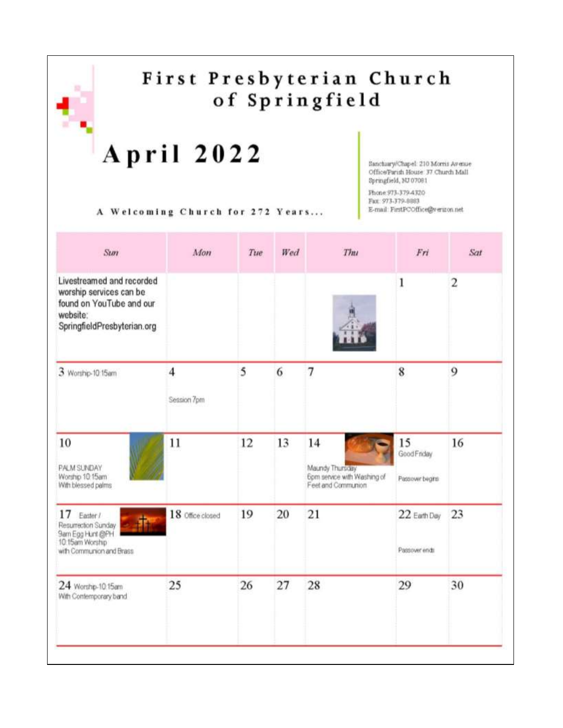### First Presbyterian Church of Springfield

## April 2022

Phone: 973-379-4320 Fax: 973-379-8883

E-mail: FirstPCOffice@vergon.net

Springfield, NJ 07081

Sanchury/Chapel: 210 Morris Avenue Office/Parish House 37 Church Mall

A Welcoming Church for 272 Years...

| Mon              | Tue | Wed | Thu                                                                        | Fri                                | Sat |
|------------------|-----|-----|----------------------------------------------------------------------------|------------------------------------|-----|
|                  |     |     |                                                                            | 1                                  | 2   |
| 4<br>Session 7pm | 5   | 6   | 7                                                                          | 8                                  | 9   |
| 11               | 12  | 13  | 14<br>Maundy Thursday<br>6pm service with Washing of<br>Feet and Communion | 15<br>GoodFnday<br>Passover begins | 16  |
| 18 Office closed | 19  | 20  | 21                                                                         | 22 Earth Day<br>Passover ends      | 23  |
| 25               | 26  | 27  | 28                                                                         | 29                                 | 30  |
|                  |     |     |                                                                            |                                    |     |